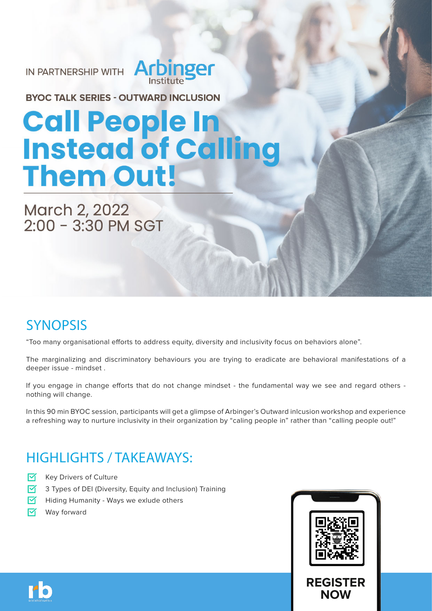IN PARTNERSHIP WITH **Arbinger** 

**BYOC TALK SERIES - OUTWARD INCLUSION** 

# **Call People In<br>Instead of Calli Them Out!**

March 2, 2022<br>2:00 - 3:30 PM SGT

## **SYNOPSIS**

"Too many organisational efforts to address equity, diversity and inclusivity focus on behaviors alone".

The marginalizing and discriminatory behaviours you are trying to eradicate are behavioral manifestations of a deeper issue - mindset .

If you engage in change efforts that do not change mindset - the fundamental way we see and regard others nothing will change.

In this 90 min BYOC session, participants will get a glimpse of Arbinger's Outward inlcusion workshop and experience a refreshing way to nurture inclusivity in their organization by "caling people in" rather than "calling people out!"

## HIGHLIGHTS / TAKEAWAYS:

- ☑ Key Drivers of Culture
- ☑ 3 Types of DEI (Diversity, Equity and Inclusion) Training
- ल Hiding Humanity - Ways we exlude others
- ☑ Way forward